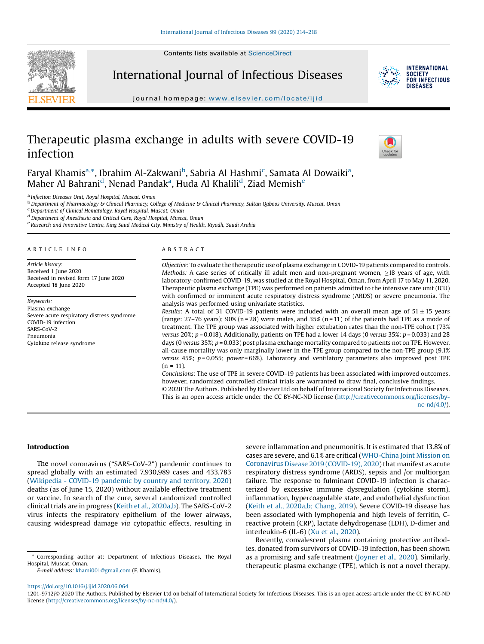Contents lists available at ScienceDirect



International Journal of Infectious Diseases



journal homepage: www.elsevier.com/locate/ijid

# Therapeutic plasma exchange in adults with severe COVID-19 infection



Faryal Khamis<sup>a,\*</sup>, Ibrahim Al-Zakwani<sup>b</sup>, Sabria Al Hashmi<sup>c</sup>, Samata Al Dowaiki<sup>a</sup>, Maher Al Bahrani<sup>d</sup>, Nenad Pandak<sup>a</sup>, Huda Al Khalili<sup>d</sup>, Ziad Memish<sup>e</sup>

<sup>a</sup> Infection Diseases Unit, Royal Hospital, Muscat, Oman<br><sup>b</sup> Department of Pharmacology & Clinical Pharmacy, College of Medicine & Clinical Pharmacy, Sultan Qaboos University, Muscat, Oman<br><sup>c</sup> Department of Clinical Hemat

<sup>d</sup> Department of Anesthesia and Critical Care, Royal Hospital, Muscat, Oman<br><sup>e</sup> Research and Innovative Centre, King Saud Medical City, Ministry of Health, Riyadh, Saudi Arabia

#### A R T I C L E I N F O

Article history: Received 1 June 2020 Received in revised form 17 June 2020 Accepted 18 June 2020

Keywords: Plasma exchange Severe acute respiratory distress syndrome COVID-19 infection SARS-CoV-2 Pneumonia Cytokine release syndrome

#### A B S T R A C T

Objective: To evaluate the therapeutic use of plasma exchange in COVID-19 patients compared to controls. Methods: A case series of critically ill adult men and non-pregnant women, >18 years of age, with laboratory-confirmed COVID-19, was studied at the Royal Hospital, Oman, from April 17 to May 11, 2020. Therapeutic plasma exchange (TPE) was performed on patients admitted to the intensive care unit (ICU) with confirmed or imminent acute respiratory distress syndrome (ARDS) or severe pneumonia. The analysis was performed using univariate statistics.

Results: A total of 31 COVID-19 patients were included with an overall mean age of  $51 \pm 15$  years (range: 27–76 years); 90% (n = 28) were males, and 35% (n = 11) of the patients had TPE as a mode of treatment. The TPE group was associated with higher extubation rates than the non-TPE cohort (73% versus 20%;  $p = 0.018$ ). Additionally, patients on TPE had a lower 14 days (0 versus 35%;  $p = 0.033$ ) and 28 days (0 versus 35%; p = 0.033) post plasma exchange mortality compared to patients not on TPE. However, all-cause mortality was only marginally lower in the TPE group compared to the non-TPE group (9.1% versus  $45%$ ;  $p = 0.055$ ; power=66%). Laboratory and ventilatory parameters also improved post TPE  $(n = 11)$ .

Conclusions: The use of TPE in severe COVID-19 patients has been associated with improved outcomes, however, randomized controlled clinical trials are warranted to draw final, conclusive findings. © 2020 The Authors. Published by Elsevier Ltd on behalf of International Society for Infectious Diseases. This is an open access article under the CC BY-NC-ND license (http://creativecommons.org/licenses/by-

nc-nd/4.0/).

# Introduction

The novel coronavirus ("SARS-CoV-2") pandemic continues to spread globally with an estimated 7,930,989 cases and 433,783 (Wikipedia - COVID-19 pandemic by country and territory, 2020) deaths (as of June 15, 2020) without available effective treatment or vaccine. In search of the cure, several randomized controlled clinical trials are in progress (Keith et al., 2020a,b). The SARS-CoV-2 virus infects the respiratory epithelium of the lower airways, causing widespread damage via cytopathic effects, resulting in

E-mail address: khami001@gmail.com (F. Khamis).

severe inflammation and pneumonitis. It is estimated that 13.8% of cases are severe, and 6.1% are critical (WHO-China Joint Mission on Coronavirus Disease 2019 (COVID-19), 2020) that manifest as acute respiratory distress syndrome (ARDS), sepsis and /or multiorgan failure. The response to fulminant COVID-19 infection is characterized by excessive immune dysregulation (cytokine storm), inflammation, hypercoagulable state, and endothelial dysfunction (Keith et al., 2020a,b; Chang, 2019). Severe COVID-19 disease has been associated with lymphopenia and high levels of ferritin, Creactive protein (CRP), lactate dehydrogenase (LDH), D-dimer and interleukin-6 (IL-6) (Xu et al., 2020).

Recently, convalescent plasma containing protective antibodies, donated from survivors of COVID-19 infection, has been shown as a promising and safe treatment (Joyner et al., 2020). Similarly, therapeutic plasma exchange (TPE), which is not a novel therapy,

https://doi.org/10.1016/j.ijid.2020.06.064

<sup>\*</sup> Corresponding author at: Department of Infectious Diseases, The Royal Hospital, Muscat, Oman.

<sup>1201-9712/©</sup> 2020 The Authors. Published by Elsevier Ltd on behalf of International Society for Infectious Diseases. This is an open access article under the CC BY-NC-ND license (http://creativecommons.org/licenses/by-nc-nd/4.0/).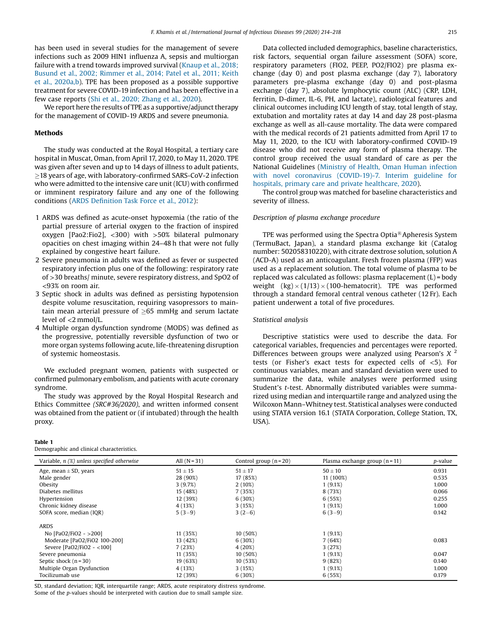has been used in several studies for the management of severe infections such as 2009 HIN1 influenza A, sepsis and multiorgan failure with a trend towards improved survival (Knaup et al., 2018; Busund et al., 2002; Rimmer et al., 2014; Patel et al., 2011; Keith et al., 2020a,b). TPE has been proposed as a possible supportive treatment for severe COVID-19 infection and has been effective in a few case reports (Shi et al., 2020; Zhang et al., 2020).

We report here the results of TPE as a supportive/adjunct therapy for the management of COVID-19 ARDS and severe pneumonia.

#### Methods

The study was conducted at the Royal Hospital, a tertiary care hospital in Muscat, Oman, from April 17, 2020, to May 11, 2020. TPE was given after seven and up to 14 days of illness to adult patients, <sup>18</sup> years of age, with laboratory-confirmed SARS-CoV-2 infection who were admitted to the intensive care unit (ICU) with confirmed or imminent respiratory failure and any one of the following conditions (ARDS Definition Task Force et al., 2012):

- 1 ARDS was defined as acute-onset hypoxemia (the ratio of the partial pressure of arterial oxygen to the fraction of inspired oxygen [Pao2:Fio2], <300) with >50% bilateral pulmonary opacities on chest imaging within 24–48 h that were not fully explained by congestive heart failure.
- 2 Severe pneumonia in adults was defined as fever or suspected respiratory infection plus one of the following: respiratory rate of >30 breaths/ minute, severe respiratory distress, and SpO2 of <93% on room air.
- 3 Septic shock in adults was defined as persisting hypotension despite volume resuscitation, requiring vasopressors to maintain mean arterial pressure of  $\geq$ 65 mmHg and serum lactate level of <2 mmol/L.
- 4 Multiple organ dysfunction syndrome (MODS) was defined as the progressive, potentially reversible dysfunction of two or more organ systems following acute, life-threatening disruption of systemic homeostasis.

We excluded pregnant women, patients with suspected or confirmed pulmonary embolism, and patients with acute coronary syndrome.

The study was approved by the Royal Hospital Research and Ethics Committee (SRC#36/2020), and written informed consent was obtained from the patient or (if intubated) through the health proxy.

#### Table 1

Demographic and clinical characteristics.

Data collected included demographics, baseline characteristics, risk factors, sequential organ failure assessment (SOFA) score, respiratory parameters (FIO2, PEEP, PO2/FIO2) pre plasma exchange (day 0) and post plasma exchange (day 7), laboratory parameters pre-plasma exchange (day 0) and post-plasma exchange (day 7), absolute lymphocytic count (ALC) (CRP, LDH, ferritin, D-dimer, IL-6, PH, and lactate), radiological features and clinical outcomes including ICU length of stay, total length of stay, extubation and mortality rates at day 14 and day 28 post-plasma exchange as well as all-cause mortality. The data were compared with the medical records of 21 patients admitted from April 17 to May 11, 2020, to the ICU with laboratory-confirmed COVID-19 disease who did not receive any form of plasma therapy. The control group received the usual standard of care as per the National Guidelines (Ministry of Health, Oman Human infection with novel coronavirus (COVID-19)-7. Interim guideline for hospitals, primary care and private healthcare, 2020).

The control group was matched for baseline characteristics and severity of illness.

#### Description of plasma exchange procedure

TPE was performed using the Spectra Optia $\mathbb B$  Apheresis System (TermuBact, Japan), a standard plasma exchange kit (Catalog number: 502058310220), with citrate dextrose solution, solution A (ACD-A) used as an anticoagulant. Fresh frozen plasma (FFP) was used as a replacement solution. The total volume of plasma to be replaced was calculated as follows: plasma replacement (L) = body weight  $(kg) \times (1/13) \times (100$ -hematocrit). TPE was performed through a standard femoral central venous catheter (12 Fr). Each patient underwent a total of five procedures.

#### Statistical analysis

Descriptive statistics were used to describe the data. For categorical variables, frequencies and percentages were reported. Differences between groups were analyzed using Pearson's  $X<sup>2</sup>$ tests (or Fisher's exact tests for expected cells of <5). For continuous variables, mean and standard deviation were used to summarize the data, while analyses were performed using Student's t-test. Abnormally distributed variables were summarized using median and interquartile range and analyzed using the Wilcoxon Mann–Whitney test. Statistical analyses were conducted using STATA version 16.1 (STATA Corporation, College Station, TX, USA).

| Variable, $n$ $(\%)$ unless specified otherwise | All $(N = 31)$ | Control group $(n=20)$ | Plasma exchange group $(n = 11)$ | <i>p</i> -value |
|-------------------------------------------------|----------------|------------------------|----------------------------------|-----------------|
| Age, mean $\pm$ SD, years                       | $51 \pm 15$    | $51 \pm 17$            | $50 \pm 10$                      | 0.931           |
| Male gender                                     | 28 (90%)       | 17 (85%)               | 11 (100%)                        | 0.535           |
| Obesity                                         | 3(9.7%)        | 2(10%)                 | 1(9.1%)                          | 1.000           |
| Diabetes mellitus                               | 15 (48%)       | 7(35%)                 | 8 (73%)                          | 0.066           |
| Hypertension                                    | 12 (39%)       | 6(30%)                 | 6(55%)                           | 0.255           |
| Chronic kidney disease                          | 4 (13%)        | 3(15%)                 | 1(9.1%)                          | 1.000           |
| SOFA score, median (IQR)                        | $5(3-9)$       | $3(2-6)$               | $6(3-9)$                         | 0.142           |
| <b>ARDS</b>                                     |                |                        |                                  |                 |
| No [PaO2/FiO2 - >200]                           | 11 (35%)       | 10 (50%)               | 1(9.1%)                          |                 |
| Moderate [PaO2/FiO2 100-200]                    | 13 (42%)       | 6(30%)                 | 7(64%)                           | 0.083           |
| Severe [PaO2/FiO2 - <100]                       | 7(23%)         | 4(20%)                 | 3(27%)                           |                 |
| Severe pneumonia                                | 11 (35%)       | 10 (50%)               | 1(9.1%)                          | 0.047           |
| Septic shock $(n=30)$                           | 19 (63%)       | 10 (53%)               | 9(82%)                           | 0.140           |
| Multiple Organ Dysfunction                      | 4 (13%)        | 3(15%)                 | 1(9.1%)                          | 1.000           |
| Tocilizumab use                                 | 12 (39%)       | 6(30%)                 | 6(55%)                           | 0.179           |

SD, standard deviation; IQR, interquartile range; ARDS, acute respiratory distress syndrome.

Some of the p-values should be interpreted with caution due to small sample size.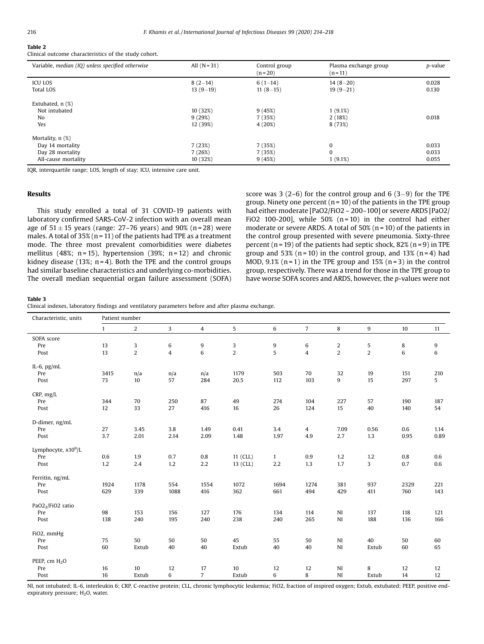# Table 2

Clinical outcome characteristics of the study cohort.

| Variable, median (IQ) unless specified otherwise | All $(N = 31)$ | Control group<br>$(n=20)$ | Plasma exchange group<br>$(n = 11)$ | p-value |
|--------------------------------------------------|----------------|---------------------------|-------------------------------------|---------|
| ICU LOS                                          | $8(2-14)$      | $6(1-14)$                 | $14(8-20)$                          | 0.028   |
| <b>Total LOS</b>                                 | $13(9-19)$     | $11(8-15)$                | $19(9-21)$                          | 0.130   |
| Extubated, $n$ $(\%)$                            |                |                           |                                     |         |
| Not intubated                                    | 10 (32%)       | 9(45%)                    | 1(9.1%)                             |         |
| No                                               | 9(29%)         | 7 (35%)                   | 2(18%)                              | 0.018   |
| Yes                                              | 12 (39%)       | 4(20%)                    | 8 (73%)                             |         |
| Mortality, $n$ $(\%)$                            |                |                           |                                     |         |
| Day 14 mortality                                 | 7(23%)         | 7(35%)                    | $\mathbf{0}$                        | 0.033   |
| Day 28 mortality                                 | 7(26%)         | 7 (35%)                   | $\Omega$                            | 0.033   |
| All-cause mortality                              | 10 (32%)       | 9(45%)                    | 1(9.1%)                             | 0.055   |

IQR, interquartile range; LOS, length of stay; ICU, intensive care unit.

# Results

This study enrolled a total of 31 COVID-19 patients with laboratory confirmed SARS-CoV-2 infection with an overall mean age of  $51 \pm 15$  years (range: 27–76 years) and 90% (n = 28) were males. A total of  $35\%$  (n = 11) of the patients had TPE as a treatment mode. The three most prevalent comorbidities were diabetes mellitus (48%; n = 15), hypertension (39%; n = 12) and chronic kidney disease (13%;  $n = 4$ ). Both the TPE and the control groups had similar baseline characteristics and underlying co-morbidities. The overall median sequential organ failure assessment (SOFA) score was 3 (2–6) for the control group and 6 (3–9) for the TPE group. Ninety one percent  $(n = 10)$  of the patients in the TPE group had either moderate [PaO2/FiO2 - 200-100] or severe ARDS [PaO2/ FiO2 100-200], while  $50\%$  (n=10) in the control had either moderate or severe ARDS. A total of  $50\%$  (n = 10) of the patients in the control group presented with severe pneumonia. Sixty-three percent ( $n = 19$ ) of the patients had septic shock, 82% ( $n = 9$ ) in TPE group and 53% ( $n = 10$ ) in the control group, and 13% ( $n = 4$ ) had MOD,  $9.1\%$  (n = 1) in the TPE group and 15% (n = 3) in the control group, respectively. There was a trend for those in the TPE group to have worse SOFA scores and ARDS, however, the p-values were not

#### Table 3

Clinical indexes, laboratory findings and ventilatory parameters before and after plasma exchange.

| Characteristic, units           | Patient number |                |                |                |             |              |                |                |                |         |         |
|---------------------------------|----------------|----------------|----------------|----------------|-------------|--------------|----------------|----------------|----------------|---------|---------|
|                                 | $\mathbf{1}$   | $\overline{2}$ | $\overline{3}$ | $\overline{4}$ | 5           | 6            | $\overline{7}$ | 8              | $9\,$          | 10      | 11      |
| SOFA score                      |                |                |                |                |             |              |                |                |                |         |         |
| Pre                             | 13             | 3              | $\,6\,$        | 9              | 3           | 9            | 6              | $\overline{c}$ | $\sqrt{5}$     | 8       | 9       |
| Post                            | 13             | $\overline{c}$ | $\overline{4}$ | $\,6$          | $\mathbf 2$ | 5            | $\overline{4}$ | $\mathbf 2$    | $\overline{2}$ | 6       | $\,6\,$ |
| IL-6, $pg/mL$                   |                |                |                |                |             |              |                |                |                |         |         |
| Pre                             | 3415           | n/a            | n/a            | n/a            | 1179        | 503          | 70             | 32             | 19             | 151     | 210     |
| Post                            | 73             | 10             | 57             | 284            | 20.5        | 112          | 103            | 9              | 15             | 297     | 5       |
| CRP, mg/L                       |                |                |                |                |             |              |                |                |                |         |         |
| Pre                             | 344            | 70             | 250            | 87             | 49          | 274          | 104            | 227            | 57             | 190     | 187     |
| Post                            | 12             | 33             | 27             | 416            | 16          | 26           | 124            | 15             | 40             | 140     | 54      |
| D-dimer, ng/mL                  |                |                |                |                |             |              |                |                |                |         |         |
| Pre                             | 27             | 3.45           | $3.8\,$        | 1.49           | 0.41        | 3.4          | $\overline{4}$ | 7.09           | 0.56           | 0.6     | 1.14    |
| Post                            | 3.7            | 2.01           | 2.14           | 2.09           | 1.48        | 1.97         | 4.9            | 2.7            | 1.3            | 0.95    | 0.89    |
| Lymphocyte, x10 <sup>9</sup> /L |                |                |                |                |             |              |                |                |                |         |         |
| Pre                             | 0.6            | 1.9            | 0.7            | $0.8\,$        | 11 (CLL)    | $\mathbf{1}$ | 0.9            | 1.2            | 1.2            | $0.8\,$ | 0.6     |
| Post                            | 1.2            | 2.4            | 1.2            | 2.2            | 13 (CLL)    | 2.2          | 1.3            | 1.7            | 3              | 0.7     | 0.6     |
| Ferritin, ng/mL                 |                |                |                |                |             |              |                |                |                |         |         |
| Pre                             | 1924           | 1178           | 554            | 1554           | 1072        | 1694         | 1274           | 381            | 937            | 2329    | 221     |
| Post                            | 629            | 339            | 1088           | 416            | 362         | 661          | 494            | 429            | 411            | 760     | 143     |
| PaO2 <sub>2</sub> /FiO2 ratio   |                |                |                |                |             |              |                |                |                |         |         |
| Pre                             | 98             | 153            | 156            | 127            | 176         | 134          | 114            | NI             | 137            | 118     | 121     |
| Post                            | 138            | 240            | 195            | 240            | 238         | 240          | 265            | NI             | 188            | 136     | 166     |
| FiO2, mmHg                      |                |                |                |                |             |              |                |                |                |         |         |
| Pre                             | 75             | 50             | 50             | 50             | 45          | 55           | 50             | NI             | 40             | 50      | 60      |
| Post                            | 60             | Extub          | 40             | 40             | Extub       | 40           | 40             | NI             | Extub          | 60      | 65      |
| PEEP, cm H <sub>2</sub> O       |                |                |                |                |             |              |                |                |                |         |         |
| Pre                             | 16             | 10             | 12             | 17             | 10          | 12           | 12             | NI             | 8              | 12      | 12      |
| Post                            | 16             | Extub          | 6              | $\overline{7}$ | Extub       | 6            | 8              | NI             | Extub          | 14      | 12      |

NI, not intubated; IL-6, interleukin 6; CRP, C-reactive protein; CLL, chronic lymphocytic leukemia; FiO2, fraction of inspired oxygen; Extub, extubated; PEEP, positive endexpiratory pressure;  $H<sub>2</sub>O$ , water.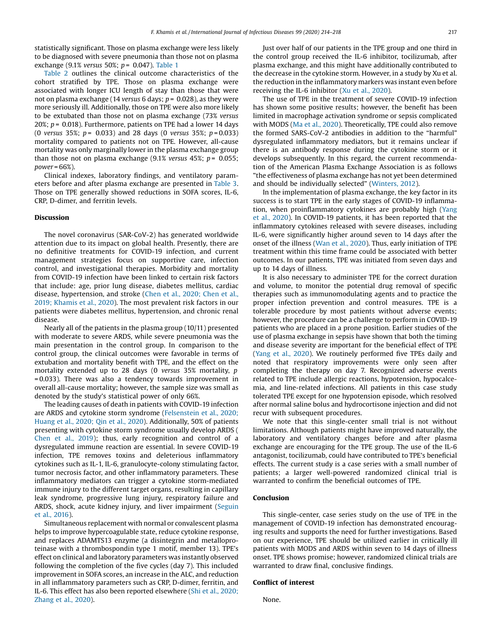statistically significant. Those on plasma exchange were less likely to be diagnosed with severe pneumonia than those not on plasma exchange (9.1% versus 50%;  $p = 0.047$ ). Table 1

Table 2 outlines the clinical outcome characteristics of the cohort stratified by TPE. Those on plasma exchange were associated with longer ICU length of stay than those that were not on plasma exchange (14 versus 6 days;  $p = 0.028$ ), as they were more seriously ill. Additionally, those on TPE were also more likely to be extubated than those not on plasma exchange (73% versus 20%;  $p = 0.018$ ). Furthermore, patients on TPE had a lower 14 days (0 versus 35%;  $p = 0.033$ ) and 28 days (0 versus 35%;  $p = 0.033$ ) mortality compared to patients not on TPE. However, all-cause mortality was only marginally lower in the plasma exchange group than those not on plasma exchange (9.1% versus 45%;  $p = 0.055$ ;  $power = 66\%).$ 

Clinical indexes, laboratory findings, and ventilatory parameters before and after plasma exchange are presented in Table 3. Those on TPE generally showed reductions in SOFA scores, IL-6, CRP, D-dimer, and ferritin levels.

## Discussion

The novel coronavirus (SAR-CoV-2) has generated worldwide attention due to its impact on global health. Presently, there are no definitive treatments for COVID-19 infection, and current management strategies focus on supportive care, infection control, and investigational therapies. Morbidity and mortality from COVID-19 infection have been linked to certain risk factors that include: age, prior lung disease, diabetes mellitus, cardiac disease, hypertension, and stroke (Chen et al., 2020; Chen et al., 2019; Khamis et al., 2020). The most prevalent risk factors in our patients were diabetes mellitus, hypertension, and chronic renal disease.

Nearly all of the patients in the plasma group (10/11) presented with moderate to severe ARDS, while severe pneumonia was the main presentation in the control group. In comparison to the control group, the clinical outcomes were favorable in terms of extubation and mortality benefit with TPE, and the effect on the mortality extended up to 28 days (0 versus 35% mortality, p = 0.033). There was also a tendency towards improvement in overall all-cause mortality; however, the sample size was small as denoted by the study's statistical power of only 66%.

The leading causes of death in patients with COVID-19 infection are ARDS and cytokine storm syndrome (Felsenstein et al., 2020; Huang et al., 2020; Qin et al., 2020). Additionally, 50% of patients presenting with cytokine storm syndrome usually develop ARDS ( Chen et al., 2019); thus, early recognition and control of a dysregulated immune reaction are essential. In severe COVID-19 infection, TPE removes toxins and deleterious inflammatory cytokines such as IL-1, IL-6, granulocyte-colony stimulating factor, tumor necrosis factor, and other inflammatory parameters. These inflammatory mediators can trigger a cytokine storm-mediated immune injury to the different target organs, resulting in capillary leak syndrome, progressive lung injury, respiratory failure and ARDS, shock, acute kidney injury, and liver impairment (Seguin et al., 2016).

Simultaneous replacement with normal or convalescent plasma helps to improve hypercoagulable state, reduce cytokine response, and replaces ADAMTS13 enzyme (a disintegrin and metalloproteinase with a thrombospondin type 1 motif, member 13). TPE's effect on clinical and laboratory parameters was instantly observed following the completion of the five cycles (day 7). This included improvement in SOFA scores, an increase in the ALC, and reduction in all inflammatory parameters such as CRP, D-dimer, ferritin, and IL-6. This effect has also been reported elsewhere (Shi et al., 2020; Zhang et al., 2020).

Just over half of our patients in the TPE group and one third in the control group received the IL-6 inhibitor, tocilizumab, after plasma exchange, and this might have additionally contributed to the decrease in the cytokine storm. However, in a study by Xu et al. the reduction in the inflammatory markers was instant even before receiving the IL-6 inhibitor (Xu et al., 2020).

The use of TPE in the treatment of severe COVID-19 infection has shown some positive results; however, the benefit has been limited in macrophage activation syndrome or sepsis complicated with MODS (Ma et al., 2020). Theoretically, TPE could also remove the formed SARS-CoV-2 antibodies in addition to the "harmful" dysregulated inflammatory mediators, but it remains unclear if there is an antibody response during the cytokine storm or it develops subsequently. In this regard, the current recommendation of the American Plasma Exchange Association is as follows "the effectiveness of plasma exchange has not yet been determined and should be individually selected" (Winters, 2012).

In the implementation of plasma exchange, the key factor in its success is to start TPE in the early stages of COVID-19 inflammation, when proinflammatory cytokines are probably high (Yang et al., 2020). In COVID-19 patients, it has been reported that the inflammatory cytokines released with severe diseases, including IL-6, were significantly higher around seven to 14 days after the onset of the illness (Wan et al., 2020). Thus, early initiation of TPE treatment within this time frame could be associated with better outcomes. In our patients, TPE was initiated from seven days and up to 14 days of illness.

It is also necessary to administer TPE for the correct duration and volume, to monitor the potential drug removal of specific therapies such as immunomodulating agents and to practice the proper infection prevention and control measures. TPE is a tolerable procedure by most patients without adverse events; however, the procedure can be a challenge to perform in COVID-19 patients who are placed in a prone position. Earlier studies of the use of plasma exchange in sepsis have shown that both the timing and disease severity are important for the beneficial effect of TPE (Yang et al., 2020). We routinely performed five TPEs daily and noted that respiratory improvements were only seen after completing the therapy on day 7. Recognized adverse events related to TPE include allergic reactions, hypotension, hypocalcemia, and line-related infections. All patients in this case study tolerated TPE except for one hypotension episode, which resolved after normal saline bolus and hydrocortisone injection and did not recur with subsequent procedures.

We note that this single-center small trial is not without limitations. Although patients might have improved naturally, the laboratory and ventilatory changes before and after plasma exchange are encouraging for the TPE group. The use of the IL-6 antagonist, tocilizumab, could have contributed to TPE's beneficial effects. The current study is a case series with a small number of patients; a larger well-powered randomized clinical trial is warranted to confirm the beneficial outcomes of TPE.

## Conclusion

This single-center, case series study on the use of TPE in the management of COVID-19 infection has demonstrated encouraging results and supports the need for further investigations. Based on our experience, TPE should be utilized earlier in critically ill patients with MODS and ARDS within seven to 14 days of illness onset. TPE shows promise; however, randomized clinical trials are warranted to draw final, conclusive findings.

# Conflict of interest

None.